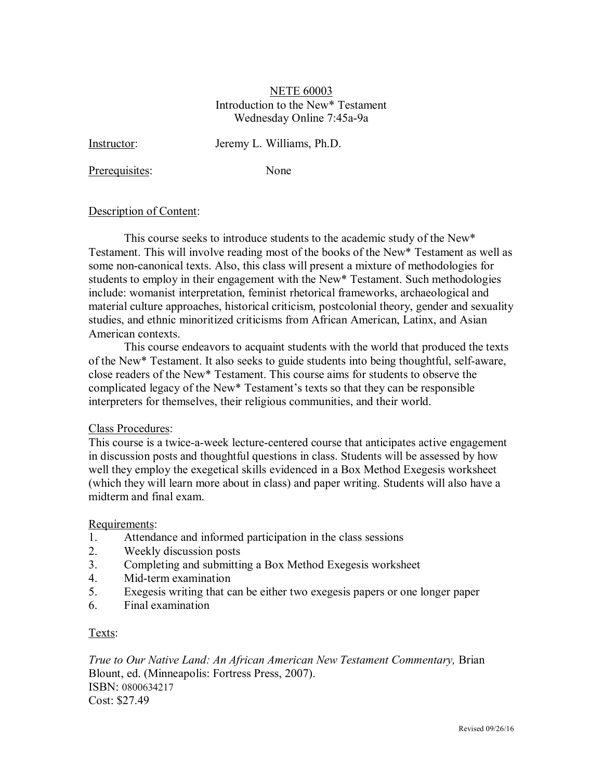# NETE 60003 Introduction to the New\* Testament Wednesday Online 7:45a-9a

Instructor: Jeremy L. Williams, Ph.D.

Prerequisites: None

## Description of Content:

This course seeks to introduce students to the academic study of the New\* Testament. This will involve reading most of the books of the New\* Testament as well as some non-canonical texts. Also, this class will present a mixture of methodologies for students to employ in their engagement with the New\* Testament. Such methodologies include: womanist interpretation, feminist rhetorical frameworks, archaeological and material culture approaches, historical criticism, postcolonial theory, gender and sexuality studies, and ethnic minoritized criticisms from African American, Latinx, and Asian American contexts.

This course endeavors to acquaint students with the world that produced the texts of the New\* Testament. It also seeks to guide students into being thoughtful, self-aware, close readers of the New\* Testament. This course aims for students to observe the complicated legacy of the New\* Testament's texts so that they can be responsible interpreters for themselves, their religious communities, and their world.

## Class Procedures:

This course is a twice-a-week lecture-centered course that anticipates active engagement in discussion posts and thoughtful questions in class. Students will be assessed by how well they employ the exegetical skills evidenced in a Box Method Exegesis worksheet (which they will learn more about in class) and paper writing. Students will also have a midterm and final exam.

## Requirements:

- 1. Attendance and informed participation in the class sessions
- 2. Weekly discussion posts
- 3. Completing and submitting a Box Method Exegesis worksheet
- 4. Mid-term examination
- 5. Exegesis writing that can be either two exegesis papers or one longer paper
- 6. Final examination

## Texts:

*True to Our Native Land: An African American New Testament Commentary,* Brian Blount, ed. (Minneapolis: Fortress Press, 2007). ISBN: 0800634217 Cost: \$27.49